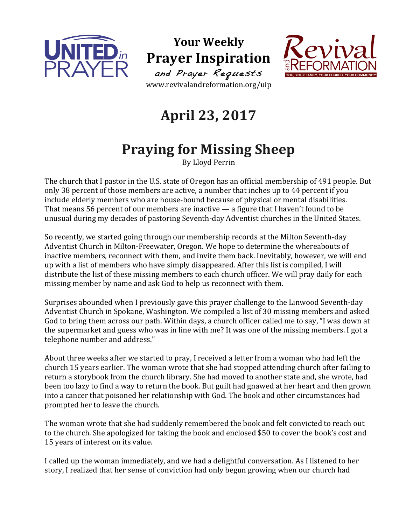

**Your Weekly Prayer Inspiration** and Prayer Requests www.revivalandreformation.org/uip



## **April 23, 2017**

## **Praying for Missing Sheep**

By Lloyd Perrin

The church that I pastor in the U.S. state of Oregon has an official membership of 491 people. But only 38 percent of those members are active, a number that inches up to 44 percent if you include elderly members who are house-bound because of physical or mental disabilities. That means  $56$  percent of our members are inactive  $-$  a figure that I haven't found to be unusual during my decades of pastoring Seventh-day Adventist churches in the United States.

So recently, we started going through our membership records at the Milton Seventh-day Adventist Church in Milton-Freewater, Oregon. We hope to determine the whereabouts of inactive members, reconnect with them, and invite them back. Inevitably, however, we will end up with a list of members who have simply disappeared. After this list is compiled, I will distribute the list of these missing members to each church officer. We will pray daily for each missing member by name and ask God to help us reconnect with them.

Surprises abounded when I previously gave this prayer challenge to the Linwood Seventh-day Adventist Church in Spokane, Washington. We compiled a list of 30 missing members and asked God to bring them across our path. Within days, a church officer called me to say, "I was down at the supermarket and guess who was in line with me? It was one of the missing members. I got a telephone number and address."

About three weeks after we started to pray, I received a letter from a woman who had left the church 15 years earlier. The woman wrote that she had stopped attending church after failing to return a storybook from the church library. She had moved to another state and, she wrote, had been too lazy to find a way to return the book. But guilt had gnawed at her heart and then grown into a cancer that poisoned her relationship with God. The book and other circumstances had prompted her to leave the church.

The woman wrote that she had suddenly remembered the book and felt convicted to reach out to the church. She apologized for taking the book and enclosed \$50 to cover the book's cost and 15 years of interest on its value.

I called up the woman immediately, and we had a delightful conversation. As I listened to her story, I realized that her sense of conviction had only begun growing when our church had